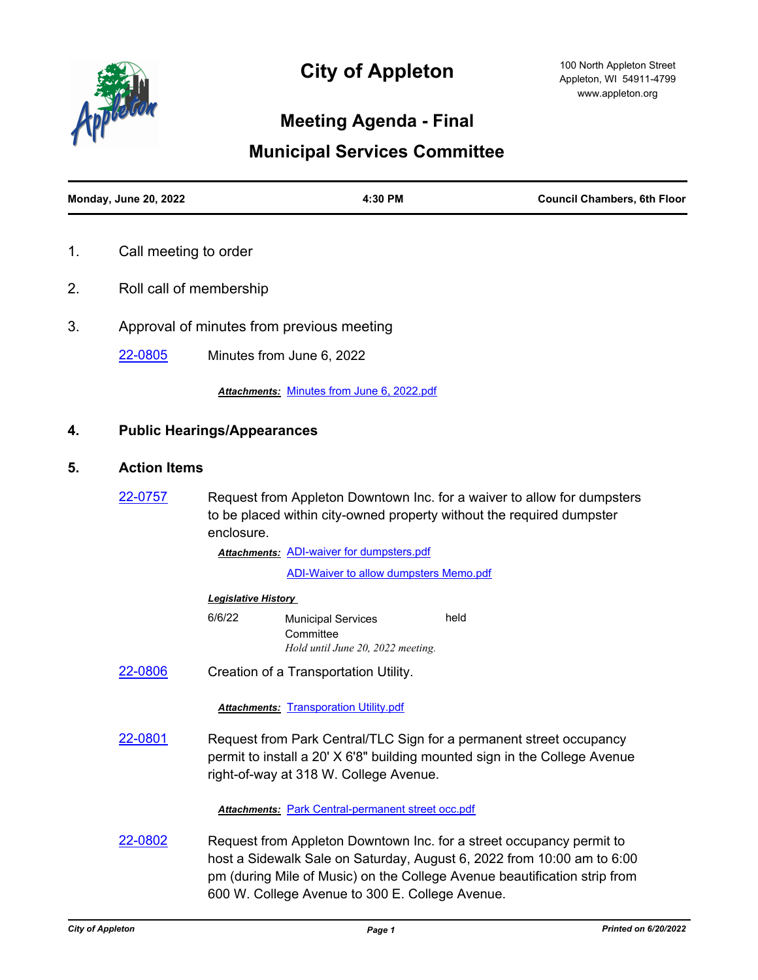

# **City of Appleton**

## **Meeting Agenda - Final**

## **Municipal Services Committee**

| <b>Monday, June 20, 2022</b> | 4:30 PM | <b>Council Chambers, 6th Floor</b> |
|------------------------------|---------|------------------------------------|
|                              |         |                                    |

- 1. Call meeting to order
- 2. Roll call of membership
- 3. Approval of minutes from previous meeting

[22-0805](http://cityofappleton.legistar.com/gateway.aspx?m=l&id=/matter.aspx?key=21355) Minutes from June 6, 2022

*Attachments:* [Minutes from June 6, 2022.pdf](http://cityofappleton.legistar.com/gateway.aspx?M=F&ID=e54ee1a5-4844-4ed4-bb68-c157d379bea9.pdf)

### **4. Public Hearings/Appearances**

### **5. Action Items**

[22-0757](http://cityofappleton.legistar.com/gateway.aspx?m=l&id=/matter.aspx?key=21307) Request from Appleton Downtown Inc. for a waiver to allow for dumpsters to be placed within city-owned property without the required dumpster enclosure.

**Attachments: [ADI-waiver for dumpsters.pdf](http://cityofappleton.legistar.com/gateway.aspx?M=F&ID=2f59d003-026d-49ab-b77d-18a25c61595d.pdf)** 

[ADI-Waiver to allow dumpsters Memo.pdf](http://cityofappleton.legistar.com/gateway.aspx?M=F&ID=bab75da3-bb80-4d5a-844f-3cbc31ad55f2.pdf)

#### *Legislative History*

- 6/6/22 Municipal Services **Committee** held *Hold until June 20, 2022 meeting.*
- [22-0806](http://cityofappleton.legistar.com/gateway.aspx?m=l&id=/matter.aspx?key=21356) Creation of a Transportation Utility.

#### **Attachments: [Transporation Utility.pdf](http://cityofappleton.legistar.com/gateway.aspx?M=F&ID=1618d6f0-54f8-4b4a-a16b-90112e63e623.pdf)**

[22-0801](http://cityofappleton.legistar.com/gateway.aspx?m=l&id=/matter.aspx?key=21351) Request from Park Central/TLC Sign for a permanent street occupancy permit to install a 20' X 6'8" building mounted sign in the College Avenue right-of-way at 318 W. College Avenue.

*Attachments:* [Park Central-permanent street occ.pdf](http://cityofappleton.legistar.com/gateway.aspx?M=F&ID=840c037d-7fcc-47b5-91cb-555469e9c883.pdf)

[22-0802](http://cityofappleton.legistar.com/gateway.aspx?m=l&id=/matter.aspx?key=21352) Request from Appleton Downtown Inc. for a street occupancy permit to host a Sidewalk Sale on Saturday, August 6, 2022 from 10:00 am to 6:00 pm (during Mile of Music) on the College Avenue beautification strip from 600 W. College Avenue to 300 E. College Avenue.